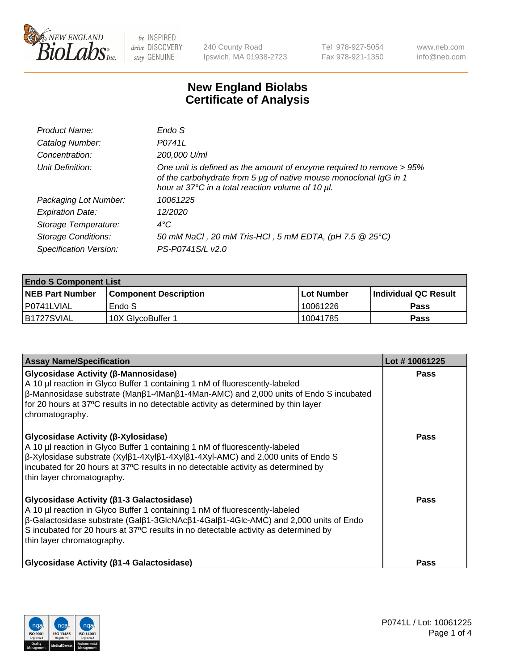

240 County Road Ipswich, MA 01938-2723 Tel 978-927-5054 Fax 978-921-1350 www.neb.com info@neb.com

## **New England Biolabs Certificate of Analysis**

| Product Name:              | Endo S                                                                                                                                                                                         |
|----------------------------|------------------------------------------------------------------------------------------------------------------------------------------------------------------------------------------------|
| Catalog Number:            | P0741L                                                                                                                                                                                         |
| Concentration:             | 200,000 U/ml                                                                                                                                                                                   |
| Unit Definition:           | One unit is defined as the amount of enzyme required to remove > 95%<br>of the carbohydrate from 5 µg of native mouse monoclonal IgG in 1<br>hour at 37°C in a total reaction volume of 10 µl. |
| Packaging Lot Number:      | 10061225                                                                                                                                                                                       |
| <b>Expiration Date:</b>    | 12/2020                                                                                                                                                                                        |
| Storage Temperature:       | $4^{\circ}$ C                                                                                                                                                                                  |
| <b>Storage Conditions:</b> | 50 mM NaCl, 20 mM Tris-HCl, 5 mM EDTA, (pH 7.5 @ 25°C)                                                                                                                                         |
| Specification Version:     | PS-P0741S/L v2.0                                                                                                                                                                               |
|                            |                                                                                                                                                                                                |

| <b>Endo S Component List</b> |                              |            |                             |  |  |
|------------------------------|------------------------------|------------|-----------------------------|--|--|
| <b>NEB Part Number</b>       | <b>Component Description</b> | Lot Number | <b>Individual QC Result</b> |  |  |
| l P0741LVIAL                 | Endo S                       | 10061226   | Pass                        |  |  |
| B1727SVIAL                   | 10X GlycoBuffer 1            | 10041785   | Pass                        |  |  |

| <b>Assay Name/Specification</b>                                                                                                                                                                                                                                                                                                                                     | Lot #10061225 |
|---------------------------------------------------------------------------------------------------------------------------------------------------------------------------------------------------------------------------------------------------------------------------------------------------------------------------------------------------------------------|---------------|
| Glycosidase Activity (β-Mannosidase)<br>A 10 µl reaction in Glyco Buffer 1 containing 1 nM of fluorescently-labeled<br>$\beta$ -Mannosidase substrate (Man $\beta$ 1-4Man $\beta$ 1-4Man-AMC) and 2,000 units of Endo S incubated<br>for 20 hours at 37°C results in no detectable activity as determined by thin layer<br>chromatography.                          | Pass          |
| Glycosidase Activity (β-Xylosidase)<br>A 10 µl reaction in Glyco Buffer 1 containing 1 nM of fluorescently-labeled<br>$\beta$ -Xylosidase substrate (Xyl $\beta$ 1-4Xyl $\beta$ 1-4Xyl $\beta$ 1-4Xyl-AMC) and 2,000 units of Endo S<br>incubated for 20 hours at 37°C results in no detectable activity as determined by<br>thin layer chromatography.             | <b>Pass</b>   |
| Glycosidase Activity (β1-3 Galactosidase)<br>A 10 µl reaction in Glyco Buffer 1 containing 1 nM of fluorescently-labeled<br>$\beta$ -Galactosidase substrate (Gal $\beta$ 1-3GlcNAc $\beta$ 1-4Gal $\beta$ 1-4Glc-AMC) and 2,000 units of Endo<br>S incubated for 20 hours at 37°C results in no detectable activity as determined by<br>thin layer chromatography. | Pass          |
| <b>Glycosidase Activity (β1-4 Galactosidase)</b>                                                                                                                                                                                                                                                                                                                    | Pass          |

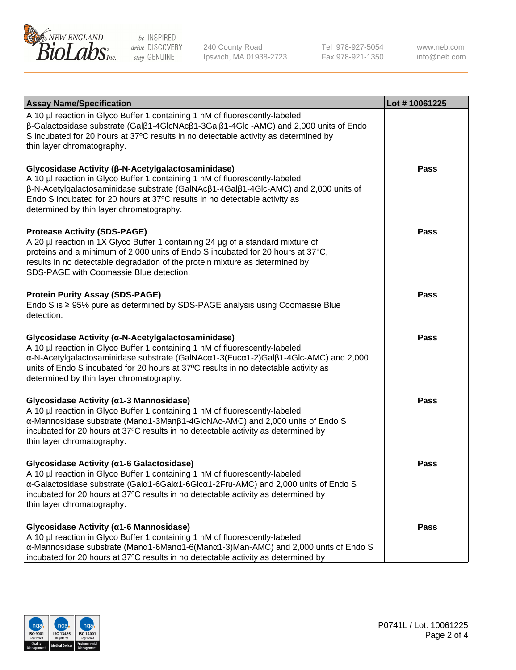

240 County Road Ipswich, MA 01938-2723 Tel 978-927-5054 Fax 978-921-1350 www.neb.com info@neb.com

| <b>Assay Name/Specification</b>                                                                                                                                                                                                                                                                                                                             | Lot #10061225 |
|-------------------------------------------------------------------------------------------------------------------------------------------------------------------------------------------------------------------------------------------------------------------------------------------------------------------------------------------------------------|---------------|
| A 10 µl reaction in Glyco Buffer 1 containing 1 nM of fluorescently-labeled<br>$\beta$ -Galactosidase substrate (Gal $\beta$ 1-4GlcNAc $\beta$ 1-3Gal $\beta$ 1-4Glc -AMC) and 2,000 units of Endo<br>S incubated for 20 hours at 37°C results in no detectable activity as determined by<br>thin layer chromatography.                                     |               |
| Glycosidase Activity (β-N-Acetylgalactosaminidase)<br>A 10 µl reaction in Glyco Buffer 1 containing 1 nM of fluorescently-labeled<br>β-N-Acetylgalactosaminidase substrate (GalNAcβ1-4Galβ1-4Glc-AMC) and 2,000 units of<br>Endo S incubated for 20 hours at 37°C results in no detectable activity as<br>determined by thin layer chromatography.          | <b>Pass</b>   |
| <b>Protease Activity (SDS-PAGE)</b><br>A 20 µl reaction in 1X Glyco Buffer 1 containing 24 µg of a standard mixture of<br>proteins and a minimum of 2,000 units of Endo S incubated for 20 hours at 37°C,<br>results in no detectable degradation of the protein mixture as determined by<br>SDS-PAGE with Coomassie Blue detection.                        | <b>Pass</b>   |
| <b>Protein Purity Assay (SDS-PAGE)</b><br>Endo S is ≥ 95% pure as determined by SDS-PAGE analysis using Coomassie Blue<br>detection.                                                                                                                                                                                                                        | <b>Pass</b>   |
| Glycosidase Activity (α-N-Acetylgalactosaminidase)<br>A 10 µl reaction in Glyco Buffer 1 containing 1 nM of fluorescently-labeled<br>α-N-Acetylgalactosaminidase substrate (GalNAcα1-3(Fucα1-2)Galβ1-4Glc-AMC) and 2,000<br>units of Endo S incubated for 20 hours at 37°C results in no detectable activity as<br>determined by thin layer chromatography. | <b>Pass</b>   |
| Glycosidase Activity (α1-3 Mannosidase)<br>A 10 µl reaction in Glyco Buffer 1 containing 1 nM of fluorescently-labeled<br>α-Mannosidase substrate (Manα1-3Manβ1-4GlcNAc-AMC) and 2,000 units of Endo S<br>incubated for 20 hours at 37°C results in no detectable activity as determined by<br>thin layer chromatography.                                   | <b>Pass</b>   |
| Glycosidase Activity (α1-6 Galactosidase)<br>A 10 µl reaction in Glyco Buffer 1 containing 1 nM of fluorescently-labeled<br>α-Galactosidase substrate (Galα1-6Galα1-6Glcα1-2Fru-AMC) and 2,000 units of Endo S<br>incubated for 20 hours at 37°C results in no detectable activity as determined by<br>thin layer chromatography.                           | <b>Pass</b>   |
| Glycosidase Activity (α1-6 Mannosidase)<br>A 10 µl reaction in Glyco Buffer 1 containing 1 nM of fluorescently-labeled<br>α-Mannosidase substrate (Μanα1-6Μanα1-6(Μanα1-3)Man-AMC) and 2,000 units of Endo S<br>incubated for 20 hours at 37°C results in no detectable activity as determined by                                                           | <b>Pass</b>   |

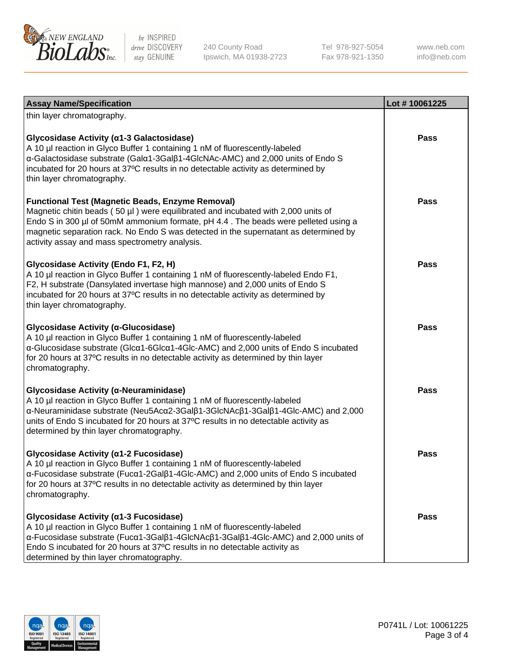

240 County Road Ipswich, MA 01938-2723 Tel 978-927-5054 Fax 978-921-1350

www.neb.com info@neb.com

| <b>Assay Name/Specification</b>                                                                                                                                                                                                                                                                                                                                              | Lot #10061225 |
|------------------------------------------------------------------------------------------------------------------------------------------------------------------------------------------------------------------------------------------------------------------------------------------------------------------------------------------------------------------------------|---------------|
| thin layer chromatography.                                                                                                                                                                                                                                                                                                                                                   |               |
| Glycosidase Activity (a1-3 Galactosidase)<br>A 10 µl reaction in Glyco Buffer 1 containing 1 nM of fluorescently-labeled<br>a-Galactosidase substrate (Gala1-3Galß1-4GlcNAc-AMC) and 2,000 units of Endo S<br>incubated for 20 hours at 37°C results in no detectable activity as determined by<br>thin layer chromatography.                                                | <b>Pass</b>   |
| <b>Functional Test (Magnetic Beads, Enzyme Removal)</b><br>Magnetic chitin beads (50 µl) were equilibrated and incubated with 2,000 units of<br>Endo S in 300 µl of 50mM ammonium formate, pH 4.4. The beads were pelleted using a<br>magnetic separation rack. No Endo S was detected in the supernatant as determined by<br>activity assay and mass spectrometry analysis. | <b>Pass</b>   |
| Glycosidase Activity (Endo F1, F2, H)<br>A 10 µl reaction in Glyco Buffer 1 containing 1 nM of fluorescently-labeled Endo F1,<br>F2, H substrate (Dansylated invertase high mannose) and 2,000 units of Endo S<br>incubated for 20 hours at 37°C results in no detectable activity as determined by<br>thin layer chromatography.                                            | <b>Pass</b>   |
| Glycosidase Activity (α-Glucosidase)<br>A 10 µl reaction in Glyco Buffer 1 containing 1 nM of fluorescently-labeled<br>α-Glucosidase substrate (Glcα1-6Glcα1-4Glc-AMC) and 2,000 units of Endo S incubated<br>for 20 hours at 37°C results in no detectable activity as determined by thin layer<br>chromatography.                                                          | <b>Pass</b>   |
| Glycosidase Activity (α-Neuraminidase)<br>A 10 µl reaction in Glyco Buffer 1 containing 1 nM of fluorescently-labeled<br>α-Neuraminidase substrate (Neu5Acα2-3Galβ1-3GlcNAcβ1-3Galβ1-4Glc-AMC) and 2,000<br>units of Endo S incubated for 20 hours at 37°C results in no detectable activity as<br>determined by thin layer chromatography.                                  | <b>Pass</b>   |
| Glycosidase Activity (α1-2 Fucosidase)<br>A 10 µl reaction in Glyco Buffer 1 containing 1 nM of fluorescently-labeled<br>α-Fucosidase substrate (Fucα1-2Galβ1-4Glc-AMC) and 2,000 units of Endo S incubated<br>for 20 hours at 37°C results in no detectable activity as determined by thin layer<br>chromatography.                                                         | <b>Pass</b>   |
| Glycosidase Activity (α1-3 Fucosidase)<br>A 10 µl reaction in Glyco Buffer 1 containing 1 nM of fluorescently-labeled<br>α-Fucosidase substrate (Fucα1-3Galβ1-4GlcNAcβ1-3Galβ1-4Glc-AMC) and 2,000 units of<br>Endo S incubated for 20 hours at 37°C results in no detectable activity as<br>determined by thin layer chromatography.                                        | <b>Pass</b>   |